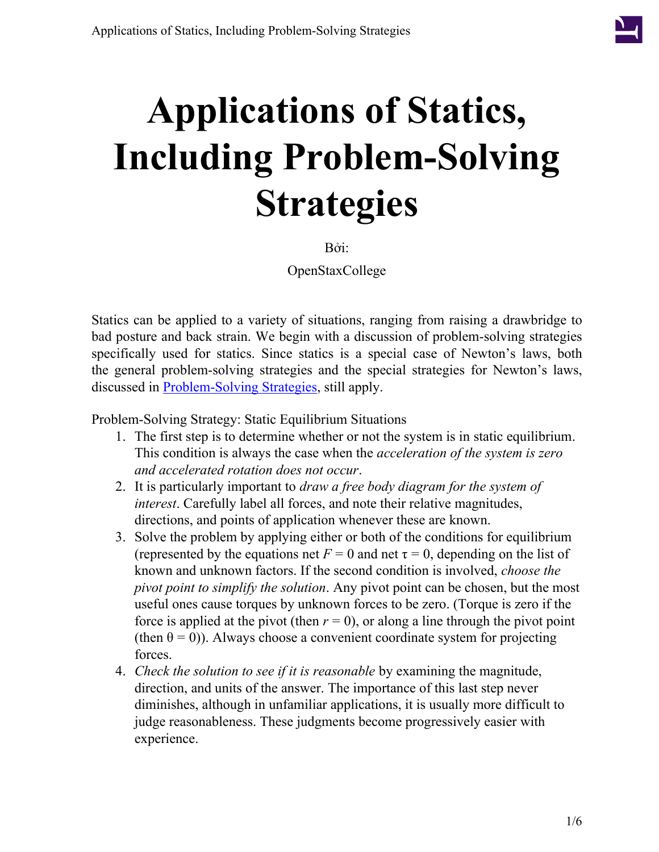

# **Applications of Statics, Including Problem-Solving Strategies**

Bởi:

OpenStaxCollege

Statics can be applied to a variety of situations, ranging from raising a drawbridge to bad posture and back strain. We begin with a discussion of problem-solving strategies specifically used for statics. Since statics is a special case of Newton's laws, both the general problem-solving strategies and the special strategies for Newton's laws, discussed in [Problem-Solving Strategies,](/m42076) still apply.

Problem-Solving Strategy: Static Equilibrium Situations

- 1. The first step is to determine whether or not the system is in static equilibrium. This condition is always the case when the *acceleration of the system is zero and accelerated rotation does not occur*.
- 2. It is particularly important to *draw a free body diagram for the system of interest*. Carefully label all forces, and note their relative magnitudes, directions, and points of application whenever these are known.
- 3. Solve the problem by applying either or both of the conditions for equilibrium (represented by the equations net  $F = 0$  and net  $\tau = 0$ , depending on the list of known and unknown factors. If the second condition is involved, *choose the pivot point to simplify the solution*. Any pivot point can be chosen, but the most useful ones cause torques by unknown forces to be zero. (Torque is zero if the force is applied at the pivot (then  $r = 0$ ), or along a line through the pivot point (then  $\theta = 0$ )). Always choose a convenient coordinate system for projecting forces.
- 4. *Check the solution to see if it is reasonable* by examining the magnitude, direction, and units of the answer. The importance of this last step never diminishes, although in unfamiliar applications, it is usually more difficult to judge reasonableness. These judgments become progressively easier with experience.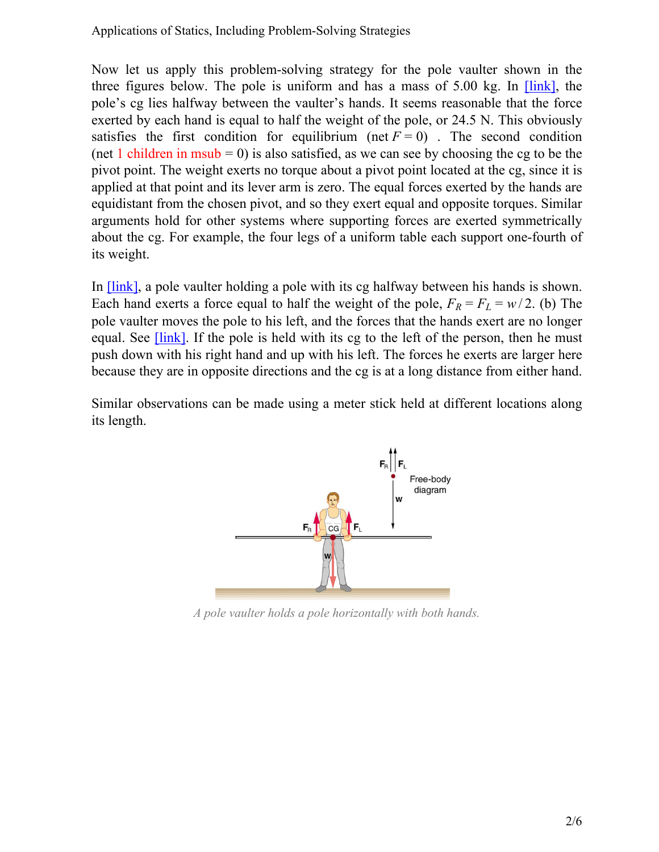Now let us apply this problem-solving strategy for the pole vaulter shown in the three figures below. The pole is uniform and has a mass of 5.00 kg. In [\[link\]](#page-1-0), the pole's cg lies halfway between the vaulter's hands. It seems reasonable that the force exerted by each hand is equal to half the weight of the pole, or 24.5 N. This obviously satisfies the first condition for equilibrium (net  $F = 0$ ). The second condition (net 1 children in msub = 0) is also satisfied, as we can see by choosing the cg to be the pivot point. The weight exerts no torque about a pivot point located at the cg, since it is applied at that point and its lever arm is zero. The equal forces exerted by the hands are equidistant from the chosen pivot, and so they exert equal and opposite torques. Similar arguments hold for other systems where supporting forces are exerted symmetrically about the cg. For example, the four legs of a uniform table each support one-fourth of its weight.

In <u>[\[link\]](#page-1-0)</u>, a pole vaulter holding a pole with its cg halfway between his hands is shown. Each hand exerts a force equal to half the weight of the pole,  $F_R = F_L = w/2$ . (b) The pole vaulter moves the pole to his left, and the forces that the hands exert are no longer equal. See  $\overline{\text{link}}$ . If the pole is held with its cg to the left of the person, then he must push down with his right hand and up with his left. The forces he exerts are larger here because they are in opposite directions and the cg is at a long distance from either hand.

<span id="page-1-0"></span>Similar observations can be made using a meter stick held at different locations along its length.



*A pole vaulter holds a pole horizontally with both hands.*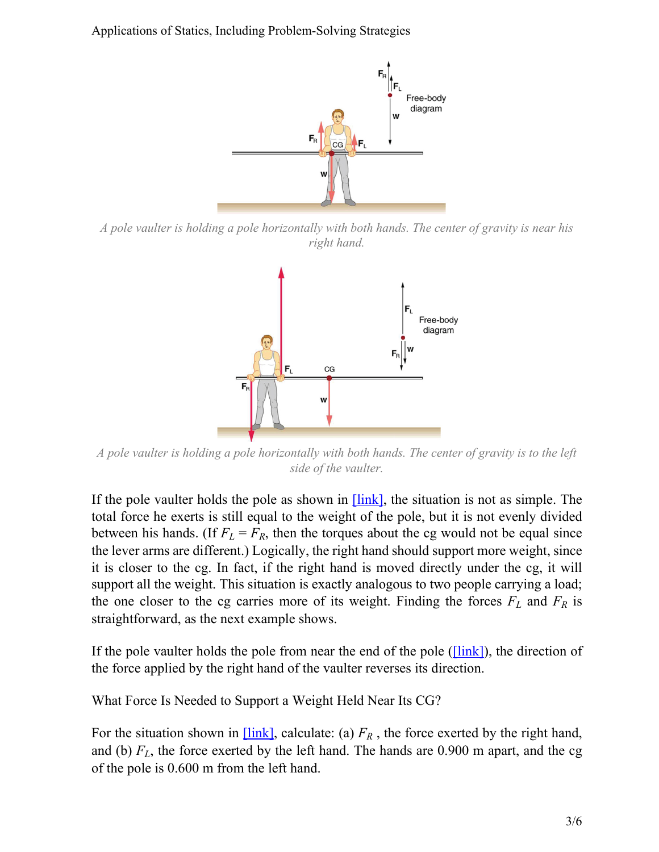Applications of Statics, Including Problem-Solving Strategies



<span id="page-2-0"></span>*A pole vaulter is holding a pole horizontally with both hands. The center of gravity is near his right hand.*



*A pole vaulter is holding a pole horizontally with both hands. The center of gravity is to the left side of the vaulter.*

If the pole vaulter holds the pole as shown in  $[\text{link}]$ , the situation is not as simple. The total force he exerts is still equal to the weight of the pole, but it is not evenly divided between his hands. (If  $F_L = F_R$ , then the torques about the cg would not be equal since the lever arms are different.) Logically, the right hand should support more weight, since it is closer to the cg. In fact, if the right hand is moved directly under the cg, it will support all the weight. This situation is exactly analogous to two people carrying a load; the one closer to the cg carries more of its weight. Finding the forces  $F_L$  and  $F_R$  is straightforward, as the next example shows.

If the pole vaulter holds the pole from near the end of the pole ( $\text{[link]}$ ), the direction of the force applied by the right hand of the vaulter reverses its direction.

What Force Is Needed to Support a Weight Held Near Its CG?

For the situation shown in  $\boxed{\text{link}}$ , calculate: (a)  $F_R$ , the force exerted by the right hand, and (b)  $F_L$ , the force exerted by the left hand. The hands are 0.900 m apart, and the cg of the pole is 0.600 m from the left hand.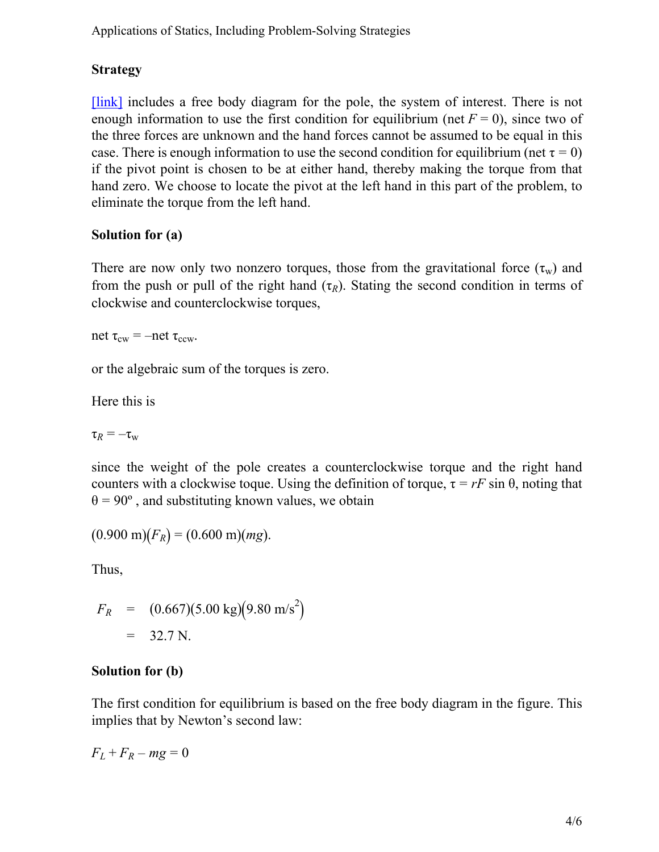Applications of Statics, Including Problem-Solving Strategies

### **Strategy**

[\[link\]](#page-1-0) includes a free body diagram for the pole, the system of interest. There is not enough information to use the first condition for equilibrium (net  $F = 0$ ), since two of the three forces are unknown and the hand forces cannot be assumed to be equal in this case. There is enough information to use the second condition for equilibrium (net  $\tau = 0$ ) if the pivot point is chosen to be at either hand, thereby making the torque from that hand zero. We choose to locate the pivot at the left hand in this part of the problem, to eliminate the torque from the left hand.

#### **Solution for (a)**

There are now only two nonzero torques, those from the gravitational force  $(\tau_w)$  and from the push or pull of the right hand  $(\tau_R)$ . Stating the second condition in terms of clockwise and counterclockwise torques,

net  $\tau_{\text{cw}} = -\text{net } \tau_{\text{ccw}}$ .

or the algebraic sum of the torques is zero.

Here this is

 $\tau_R = -\tau_w$ 

since the weight of the pole creates a counterclockwise torque and the right hand counters with a clockwise toque. Using the definition of torque,  $\tau = rF \sin \theta$ , noting that  $\theta = 90^\circ$ , and substituting known values, we obtain

$$
(0.900 \text{ m})(F_R) = (0.600 \text{ m})(mg).
$$

Thus,

$$
F_R = (0.667)(5.00 \text{ kg})(9.80 \text{ m/s}^2)
$$
  
= 32.7 N.

#### **Solution for (b)**

The first condition for equilibrium is based on the free body diagram in the figure. This implies that by Newton's second law:

 $F_L + F_R - mg = 0$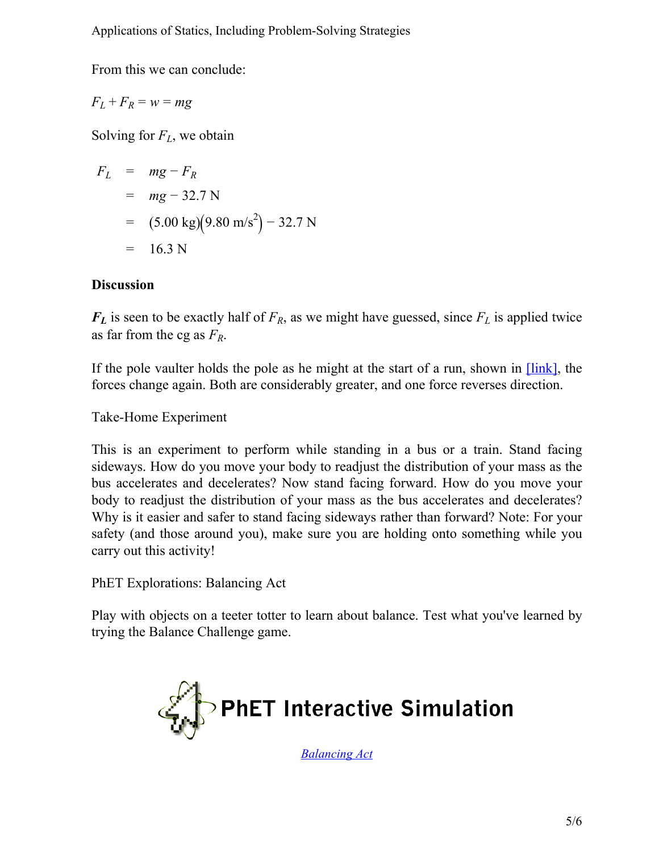From this we can conclude:

$$
F_L + F_R = w = mg
$$

Solving for *FL*, we obtain

$$
F_L = mg - F_R
$$
  
= mg - 32.7 N  
= (5.00 kg)(9.80 m/s<sup>2</sup>) - 32.7 N  
= 16.3 N

#### **Discussion**

 $F_L$  is seen to be exactly half of  $F_R$ , as we might have guessed, since  $F_L$  is applied twice as far from the cg as *FR*.

If the pole vaulter holds the pole as he might at the start of a run, shown in  $[\text{link}]$ , the forces change again. Both are considerably greater, and one force reverses direction.

Take-Home Experiment

This is an experiment to perform while standing in a bus or a train. Stand facing sideways. How do you move your body to readjust the distribution of your mass as the bus accelerates and decelerates? Now stand facing forward. How do you move your body to readjust the distribution of your mass as the bus accelerates and decelerates? Why is it easier and safer to stand facing sideways rather than forward? Note: For your safety (and those around you), make sure you are holding onto something while you carry out this activity!

PhET Explorations: Balancing Act

Play with objects on a teeter totter to learn about balance. Test what you've learned by trying the Balance Challenge game.



*[Balancing Act](http://phet.colorado.edu/en/simulation/balancing-act)*